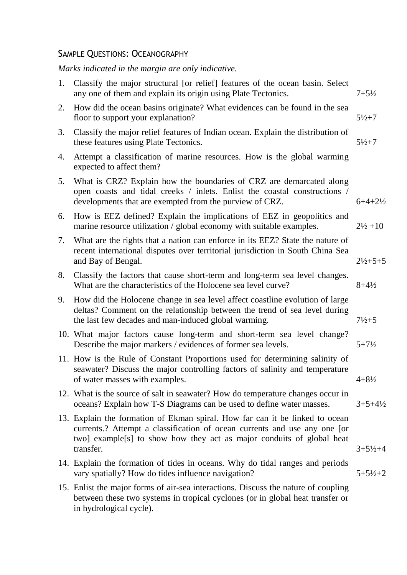## SAMPLE QUESTIONS: OCEANOGRAPHY

*Marks indicated in the margin are only indicative.*

| 1. | Classify the major structural [or relief] features of the ocean basin. Select<br>any one of them and explain its origin using Plate Tectonics.                                                                                                  | $7 + 5\frac{1}{2}$     |
|----|-------------------------------------------------------------------------------------------------------------------------------------------------------------------------------------------------------------------------------------------------|------------------------|
| 2. | How did the ocean basins originate? What evidences can be found in the sea<br>floor to support your explanation?                                                                                                                                | $5\frac{1}{2} + 7$     |
| 3. | Classify the major relief features of Indian ocean. Explain the distribution of<br>these features using Plate Tectonics.                                                                                                                        | $5\frac{1}{2} + 7$     |
| 4. | Attempt a classification of marine resources. How is the global warming<br>expected to affect them?                                                                                                                                             |                        |
| 5. | What is CRZ? Explain how the boundaries of CRZ are demarcated along<br>open coasts and tidal creeks / inlets. Enlist the coastal constructions /<br>developments that are exempted from the purview of CRZ.                                     | $6+4+2\frac{1}{2}$     |
| 6. | How is EEZ defined? Explain the implications of EEZ in geopolitics and<br>marine resource utilization / global economy with suitable examples.                                                                                                  | $2\frac{1}{2} + 10$    |
| 7. | What are the rights that a nation can enforce in its EEZ? State the nature of<br>recent international disputes over territorial jurisdiction in South China Sea<br>and Bay of Bengal.                                                           | $2\frac{1}{2} + 5 + 5$ |
| 8. | Classify the factors that cause short-term and long-term sea level changes.<br>What are the characteristics of the Holocene sea level curve?                                                                                                    | $8 + 4\frac{1}{2}$     |
| 9. | How did the Holocene change in sea level affect coastline evolution of large<br>deltas? Comment on the relationship between the trend of sea level during<br>the last few decades and man-induced global warming.                               | $7\frac{1}{2}+5$       |
|    | 10. What major factors cause long-term and short-term sea level change?<br>Describe the major markers / evidences of former sea levels.                                                                                                         | $5 + 7\frac{1}{2}$     |
|    | 11. How is the Rule of Constant Proportions used for determining salinity of<br>seawater? Discuss the major controlling factors of salinity and temperature<br>of water masses with examples.                                                   | $4 + 8\frac{1}{2}$     |
|    | 12. What is the source of salt in seawater? How do temperature changes occur in<br>oceans? Explain how T-S Diagrams can be used to define water masses.                                                                                         | $3 + 5 + 4\frac{1}{2}$ |
|    | 13. Explain the formation of Ekman spiral. How far can it be linked to ocean<br>currents.? Attempt a classification of ocean currents and use any one [or<br>two] example[s] to show how they act as major conduits of global heat<br>transfer. | $3 + 5\frac{1}{2} + 4$ |
|    | 14. Explain the formation of tides in oceans. Why do tidal ranges and periods<br>vary spatially? How do tides influence navigation?                                                                                                             | $5 + 5\frac{1}{2} + 2$ |
|    | 15. Enlist the major forms of air-sea interactions. Discuss the nature of coupling<br>between these two systems in tropical cyclones (or in global heat transfer or<br>in hydrological cycle).                                                  |                        |